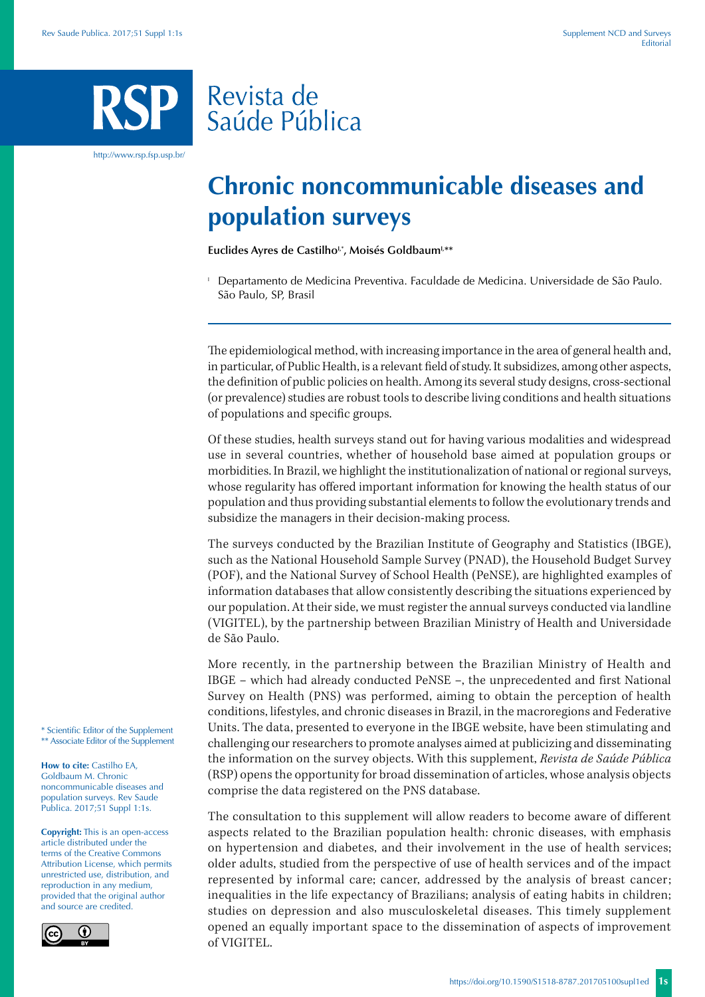## Revista de Saúde Pública

http://www.rsp.fsp.usp.br/

## **Chronic noncommunicable diseases and population surveys**

Euclides Ayres de Castilho<sup>1,\*</sup>, Moisés Goldbaum<sup>1,\*\*</sup>

<sup>I</sup> Departamento de Medicina Preventiva. Faculdade de Medicina. Universidade de São Paulo. São Paulo, SP, Brasil

The epidemiological method, with increasing importance in the area of general health and, in particular, of Public Health, is a relevant field of study. It subsidizes, among other aspects, the definition of public policies on health. Among its several study designs, cross-sectional (or prevalence) studies are robust tools to describe living conditions and health situations of populations and specific groups.

Of these studies, health surveys stand out for having various modalities and widespread use in several countries, whether of household base aimed at population groups or morbidities. In Brazil, we highlight the institutionalization of national or regional surveys, whose regularity has offered important information for knowing the health status of our population and thus providing substantial elements to follow the evolutionary trends and subsidize the managers in their decision-making process.

The surveys conducted by the Brazilian Institute of Geography and Statistics (IBGE), such as the National Household Sample Survey (PNAD), the Household Budget Survey (POF), and the National Survey of School Health (PeNSE), are highlighted examples of information databases that allow consistently describing the situations experienced by our population. At their side, we must register the annual surveys conducted via landline (VIGITEL), by the partnership between Brazilian Ministry of Health and Universidade de São Paulo.

More recently, in the partnership between the Brazilian Ministry of Health and IBGE – which had already conducted PeNSE –, the unprecedented and first National Survey on Health (PNS) was performed, aiming to obtain the perception of health conditions, lifestyles, and chronic diseases in Brazil, in the macroregions and Federative Units. The data, presented to everyone in the IBGE website, have been stimulating and challenging our researchers to promote analyses aimed at publicizing and disseminating the information on the survey objects. With this supplement, *Revista de Saúde Pública*  (RSP) opens the opportunity for broad dissemination of articles, whose analysis objects comprise the data registered on the PNS database.

The consultation to this supplement will allow readers to become aware of different aspects related to the Brazilian population health: chronic diseases, with emphasis on hypertension and diabetes, and their involvement in the use of health services; older adults, studied from the perspective of use of health services and of the impact represented by informal care; cancer, addressed by the analysis of breast cancer; inequalities in the life expectancy of Brazilians; analysis of eating habits in children; studies on depression and also musculoskeletal diseases. This timely supplement opened an equally important space to the dissemination of aspects of improvement of VIGITEL.

\* Scientific Editor of the Supplement \*\* Associate Editor of the Supplement

**How to cite:** Castilho EA, Goldbaum M. Chronic noncommunicable diseases and population surveys. Rev Saude Publica. 2017;51 Suppl 1:1s.

**Copyright:** This is an open-access article distributed under the terms of the Creative Commons Attribution License, which permits unrestricted use, distribution, and reproduction in any medium, provided that the original author and source are credited.